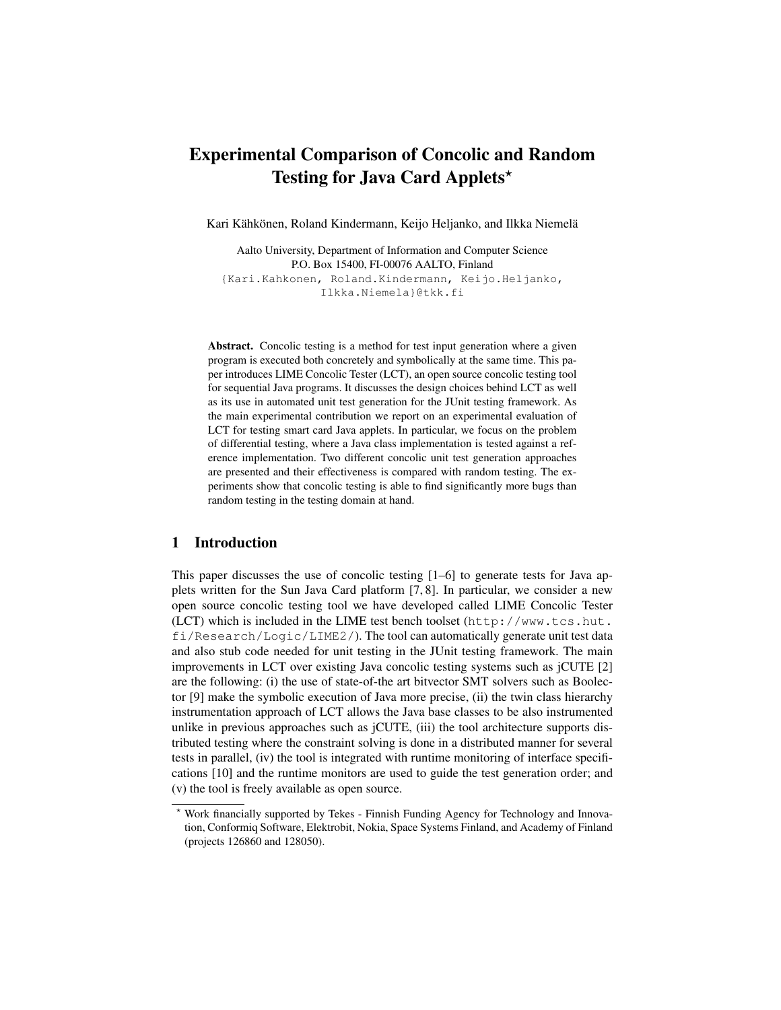# Experimental Comparison of Concolic and Random Testing for Java Card Applets\*

Kari Kähkönen, Roland Kindermann, Keijo Heljanko, and Ilkka Niemelä

Aalto University, Department of Information and Computer Science P.O. Box 15400, FI-00076 AALTO, Finland {Kari.Kahkonen, Roland.Kindermann, Keijo.Heljanko, Ilkka.Niemela}@tkk.fi

Abstract. Concolic testing is a method for test input generation where a given program is executed both concretely and symbolically at the same time. This paper introduces LIME Concolic Tester (LCT), an open source concolic testing tool for sequential Java programs. It discusses the design choices behind LCT as well as its use in automated unit test generation for the JUnit testing framework. As the main experimental contribution we report on an experimental evaluation of LCT for testing smart card Java applets. In particular, we focus on the problem of differential testing, where a Java class implementation is tested against a reference implementation. Two different concolic unit test generation approaches are presented and their effectiveness is compared with random testing. The experiments show that concolic testing is able to find significantly more bugs than random testing in the testing domain at hand.

## 1 Introduction

This paper discusses the use of concolic testing [1–6] to generate tests for Java applets written for the Sun Java Card platform [7, 8]. In particular, we consider a new open source concolic testing tool we have developed called LIME Concolic Tester (LCT) which is included in the LIME test bench toolset (http://www.tcs.hut. fi/Research/Logic/LIME2/). The tool can automatically generate unit test data and also stub code needed for unit testing in the JUnit testing framework. The main improvements in LCT over existing Java concolic testing systems such as jCUTE [2] are the following: (i) the use of state-of-the art bitvector SMT solvers such as Boolector [9] make the symbolic execution of Java more precise, (ii) the twin class hierarchy instrumentation approach of LCT allows the Java base classes to be also instrumented unlike in previous approaches such as jCUTE, (iii) the tool architecture supports distributed testing where the constraint solving is done in a distributed manner for several tests in parallel, (iv) the tool is integrated with runtime monitoring of interface specifications [10] and the runtime monitors are used to guide the test generation order; and (v) the tool is freely available as open source.

<sup>?</sup> Work financially supported by Tekes - Finnish Funding Agency for Technology and Innovation, Conformiq Software, Elektrobit, Nokia, Space Systems Finland, and Academy of Finland (projects 126860 and 128050).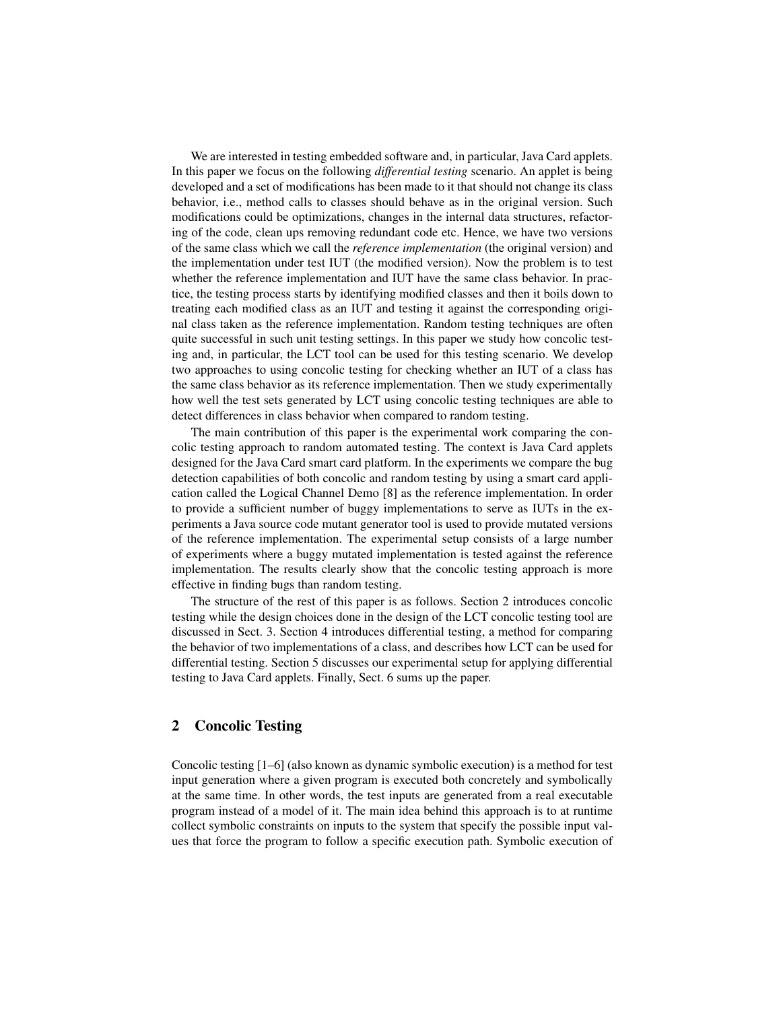We are interested in testing embedded software and, in particular, Java Card applets. In this paper we focus on the following *differential testing* scenario. An applet is being developed and a set of modifications has been made to it that should not change its class behavior, i.e., method calls to classes should behave as in the original version. Such modifications could be optimizations, changes in the internal data structures, refactoring of the code, clean ups removing redundant code etc. Hence, we have two versions of the same class which we call the *reference implementation* (the original version) and the implementation under test IUT (the modified version). Now the problem is to test whether the reference implementation and IUT have the same class behavior. In practice, the testing process starts by identifying modified classes and then it boils down to treating each modified class as an IUT and testing it against the corresponding original class taken as the reference implementation. Random testing techniques are often quite successful in such unit testing settings. In this paper we study how concolic testing and, in particular, the LCT tool can be used for this testing scenario. We develop two approaches to using concolic testing for checking whether an IUT of a class has the same class behavior as its reference implementation. Then we study experimentally how well the test sets generated by LCT using concolic testing techniques are able to detect differences in class behavior when compared to random testing.

The main contribution of this paper is the experimental work comparing the concolic testing approach to random automated testing. The context is Java Card applets designed for the Java Card smart card platform. In the experiments we compare the bug detection capabilities of both concolic and random testing by using a smart card application called the Logical Channel Demo [8] as the reference implementation. In order to provide a sufficient number of buggy implementations to serve as IUTs in the experiments a Java source code mutant generator tool is used to provide mutated versions of the reference implementation. The experimental setup consists of a large number of experiments where a buggy mutated implementation is tested against the reference implementation. The results clearly show that the concolic testing approach is more effective in finding bugs than random testing.

The structure of the rest of this paper is as follows. Section 2 introduces concolic testing while the design choices done in the design of the LCT concolic testing tool are discussed in Sect. 3. Section 4 introduces differential testing, a method for comparing the behavior of two implementations of a class, and describes how LCT can be used for differential testing. Section 5 discusses our experimental setup for applying differential testing to Java Card applets. Finally, Sect. 6 sums up the paper.

## 2 Concolic Testing

Concolic testing [1–6] (also known as dynamic symbolic execution) is a method for test input generation where a given program is executed both concretely and symbolically at the same time. In other words, the test inputs are generated from a real executable program instead of a model of it. The main idea behind this approach is to at runtime collect symbolic constraints on inputs to the system that specify the possible input values that force the program to follow a specific execution path. Symbolic execution of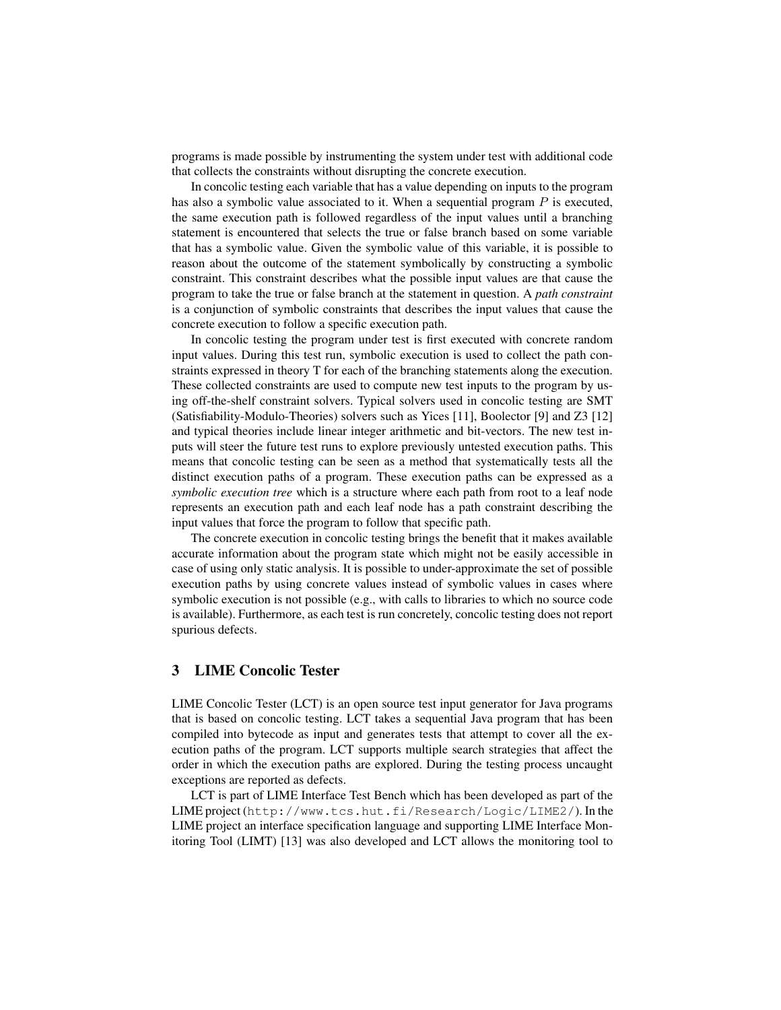programs is made possible by instrumenting the system under test with additional code that collects the constraints without disrupting the concrete execution.

In concolic testing each variable that has a value depending on inputs to the program has also a symbolic value associated to it. When a sequential program  $P$  is executed, the same execution path is followed regardless of the input values until a branching statement is encountered that selects the true or false branch based on some variable that has a symbolic value. Given the symbolic value of this variable, it is possible to reason about the outcome of the statement symbolically by constructing a symbolic constraint. This constraint describes what the possible input values are that cause the program to take the true or false branch at the statement in question. A *path constraint* is a conjunction of symbolic constraints that describes the input values that cause the concrete execution to follow a specific execution path.

In concolic testing the program under test is first executed with concrete random input values. During this test run, symbolic execution is used to collect the path constraints expressed in theory T for each of the branching statements along the execution. These collected constraints are used to compute new test inputs to the program by using off-the-shelf constraint solvers. Typical solvers used in concolic testing are SMT (Satisfiability-Modulo-Theories) solvers such as Yices [11], Boolector [9] and Z3 [12] and typical theories include linear integer arithmetic and bit-vectors. The new test inputs will steer the future test runs to explore previously untested execution paths. This means that concolic testing can be seen as a method that systematically tests all the distinct execution paths of a program. These execution paths can be expressed as a *symbolic execution tree* which is a structure where each path from root to a leaf node represents an execution path and each leaf node has a path constraint describing the input values that force the program to follow that specific path.

The concrete execution in concolic testing brings the benefit that it makes available accurate information about the program state which might not be easily accessible in case of using only static analysis. It is possible to under-approximate the set of possible execution paths by using concrete values instead of symbolic values in cases where symbolic execution is not possible (e.g., with calls to libraries to which no source code is available). Furthermore, as each test is run concretely, concolic testing does not report spurious defects.

## 3 LIME Concolic Tester

LIME Concolic Tester (LCT) is an open source test input generator for Java programs that is based on concolic testing. LCT takes a sequential Java program that has been compiled into bytecode as input and generates tests that attempt to cover all the execution paths of the program. LCT supports multiple search strategies that affect the order in which the execution paths are explored. During the testing process uncaught exceptions are reported as defects.

LCT is part of LIME Interface Test Bench which has been developed as part of the LIME project (http://www.tcs.hut.fi/Research/Logic/LIME2/). In the LIME project an interface specification language and supporting LIME Interface Monitoring Tool (LIMT) [13] was also developed and LCT allows the monitoring tool to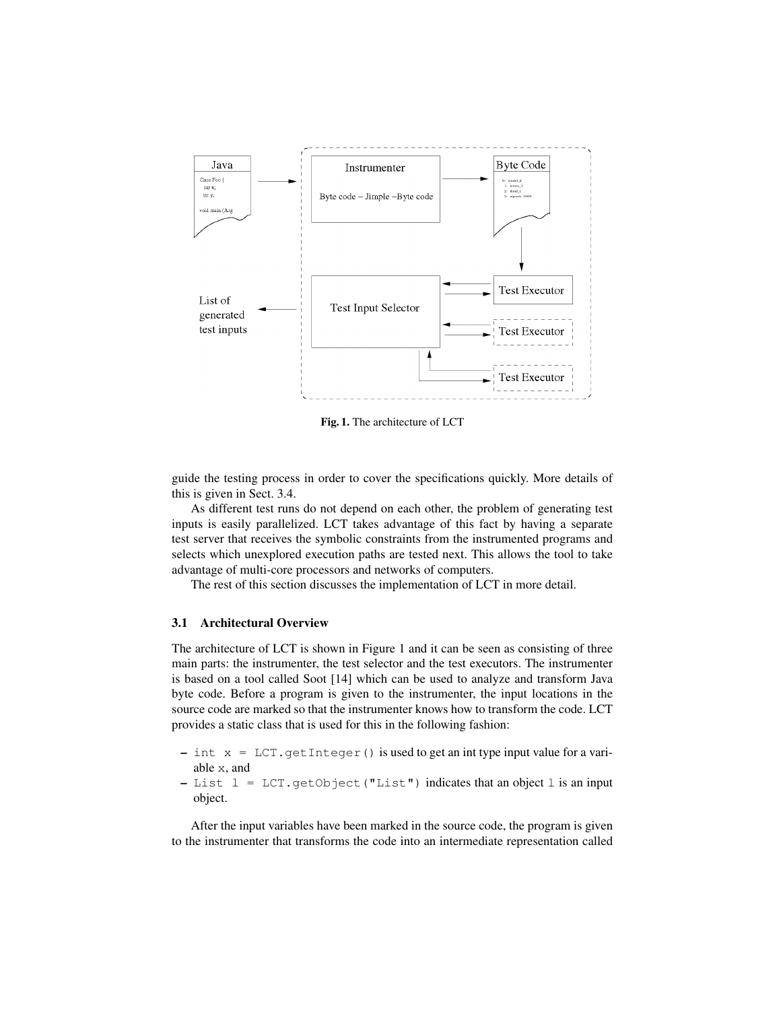

Fig. 1. The architecture of LCT

guide the testing process in order to cover the specifications quickly. More details of this is given in Sect. 3.4.

As different test runs do not depend on each other, the problem of generating test inputs is easily parallelized. LCT takes advantage of this fact by having a separate test server that receives the symbolic constraints from the instrumented programs and selects which unexplored execution paths are tested next. This allows the tool to take advantage of multi-core processors and networks of computers.

The rest of this section discusses the implementation of LCT in more detail.

## 3.1 Architectural Overview

The architecture of LCT is shown in Figure 1 and it can be seen as consisting of three main parts: the instrumenter, the test selector and the test executors. The instrumenter is based on a tool called Soot [14] which can be used to analyze and transform Java byte code. Before a program is given to the instrumenter, the input locations in the source code are marked so that the instrumenter knows how to transform the code. LCT provides a static class that is used for this in the following fashion:

- $-$  int  $x = LCT$ . getInteger() is used to get an int type input value for a variable x, and
- $-$  List  $l =$  LCT.getObject ("List") indicates that an object 1 is an input object.

After the input variables have been marked in the source code, the program is given to the instrumenter that transforms the code into an intermediate representation called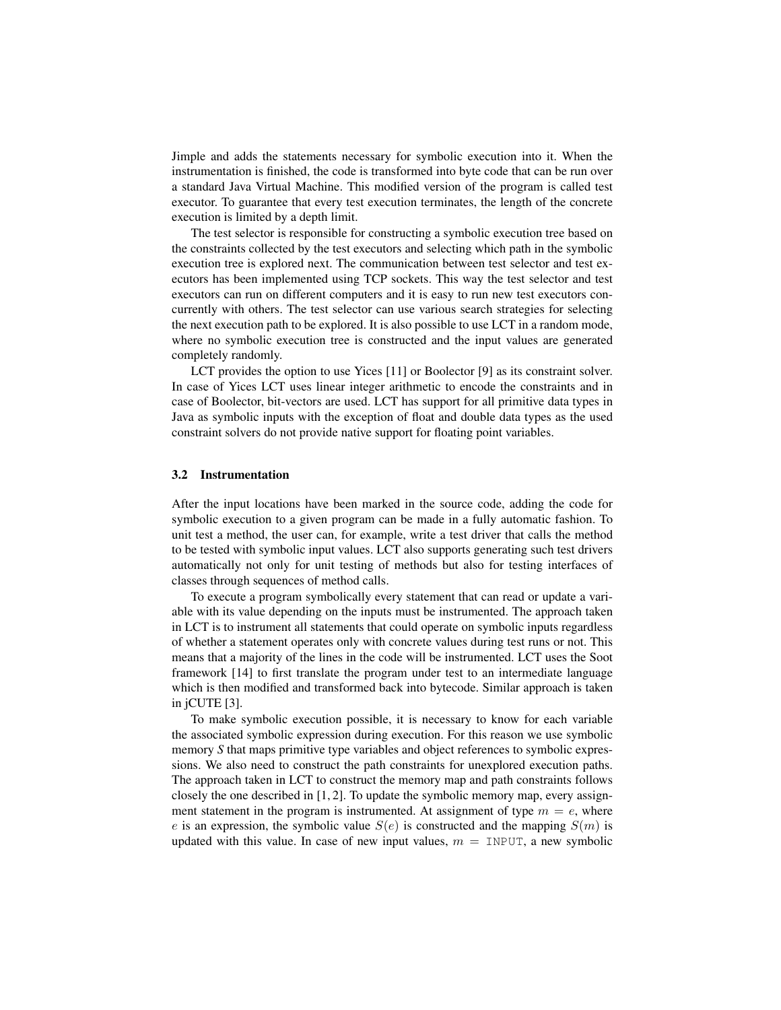Jimple and adds the statements necessary for symbolic execution into it. When the instrumentation is finished, the code is transformed into byte code that can be run over a standard Java Virtual Machine. This modified version of the program is called test executor. To guarantee that every test execution terminates, the length of the concrete execution is limited by a depth limit.

The test selector is responsible for constructing a symbolic execution tree based on the constraints collected by the test executors and selecting which path in the symbolic execution tree is explored next. The communication between test selector and test executors has been implemented using TCP sockets. This way the test selector and test executors can run on different computers and it is easy to run new test executors concurrently with others. The test selector can use various search strategies for selecting the next execution path to be explored. It is also possible to use LCT in a random mode, where no symbolic execution tree is constructed and the input values are generated completely randomly.

LCT provides the option to use Yices [11] or Boolector [9] as its constraint solver. In case of Yices LCT uses linear integer arithmetic to encode the constraints and in case of Boolector, bit-vectors are used. LCT has support for all primitive data types in Java as symbolic inputs with the exception of float and double data types as the used constraint solvers do not provide native support for floating point variables.

#### 3.2 Instrumentation

After the input locations have been marked in the source code, adding the code for symbolic execution to a given program can be made in a fully automatic fashion. To unit test a method, the user can, for example, write a test driver that calls the method to be tested with symbolic input values. LCT also supports generating such test drivers automatically not only for unit testing of methods but also for testing interfaces of classes through sequences of method calls.

To execute a program symbolically every statement that can read or update a variable with its value depending on the inputs must be instrumented. The approach taken in LCT is to instrument all statements that could operate on symbolic inputs regardless of whether a statement operates only with concrete values during test runs or not. This means that a majority of the lines in the code will be instrumented. LCT uses the Soot framework [14] to first translate the program under test to an intermediate language which is then modified and transformed back into bytecode. Similar approach is taken in jCUTE [3].

To make symbolic execution possible, it is necessary to know for each variable the associated symbolic expression during execution. For this reason we use symbolic memory *S* that maps primitive type variables and object references to symbolic expressions. We also need to construct the path constraints for unexplored execution paths. The approach taken in LCT to construct the memory map and path constraints follows closely the one described in  $[1, 2]$ . To update the symbolic memory map, every assignment statement in the program is instrumented. At assignment of type  $m = e$ , where e is an expression, the symbolic value  $S(e)$  is constructed and the mapping  $S(m)$  is updated with this value. In case of new input values,  $m = \text{INPUT},$  a new symbolic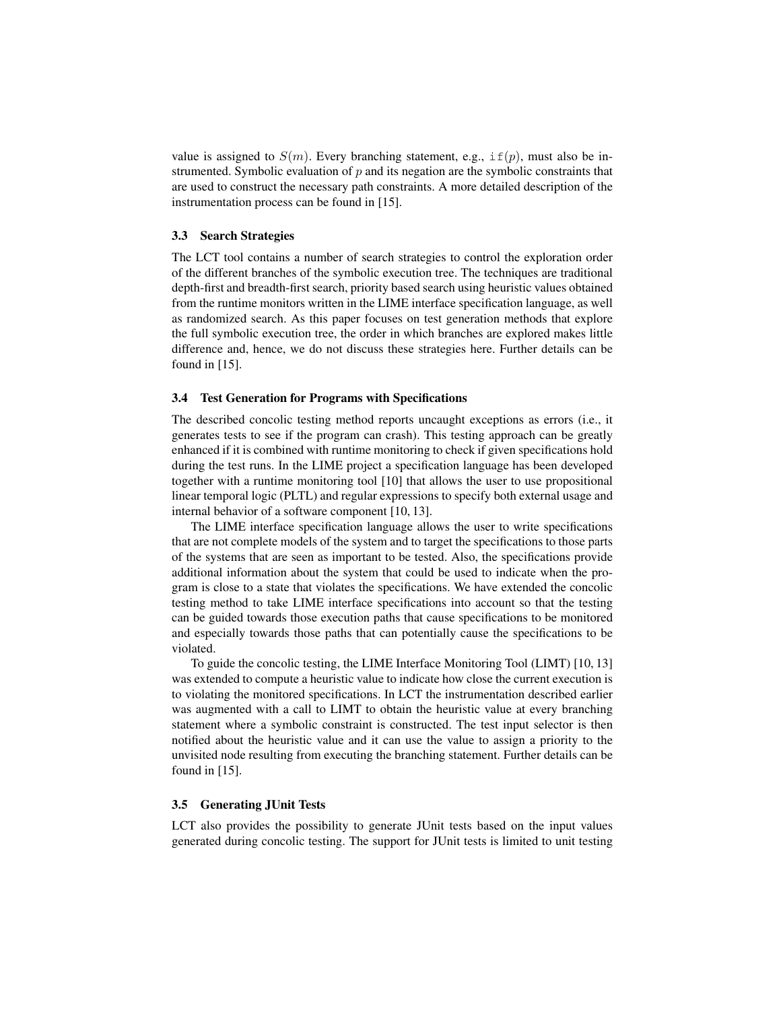value is assigned to  $S(m)$ . Every branching statement, e.g.,  $\text{if}(p)$ , must also be instrumented. Symbolic evaluation of  $p$  and its negation are the symbolic constraints that are used to construct the necessary path constraints. A more detailed description of the instrumentation process can be found in [15].

## 3.3 Search Strategies

The LCT tool contains a number of search strategies to control the exploration order of the different branches of the symbolic execution tree. The techniques are traditional depth-first and breadth-first search, priority based search using heuristic values obtained from the runtime monitors written in the LIME interface specification language, as well as randomized search. As this paper focuses on test generation methods that explore the full symbolic execution tree, the order in which branches are explored makes little difference and, hence, we do not discuss these strategies here. Further details can be found in  $[15]$ .

## 3.4 Test Generation for Programs with Specifications

The described concolic testing method reports uncaught exceptions as errors (i.e., it generates tests to see if the program can crash). This testing approach can be greatly enhanced if it is combined with runtime monitoring to check if given specifications hold during the test runs. In the LIME project a specification language has been developed together with a runtime monitoring tool [10] that allows the user to use propositional linear temporal logic (PLTL) and regular expressions to specify both external usage and internal behavior of a software component [10, 13].

The LIME interface specification language allows the user to write specifications that are not complete models of the system and to target the specifications to those parts of the systems that are seen as important to be tested. Also, the specifications provide additional information about the system that could be used to indicate when the program is close to a state that violates the specifications. We have extended the concolic testing method to take LIME interface specifications into account so that the testing can be guided towards those execution paths that cause specifications to be monitored and especially towards those paths that can potentially cause the specifications to be violated.

To guide the concolic testing, the LIME Interface Monitoring Tool (LIMT) [10, 13] was extended to compute a heuristic value to indicate how close the current execution is to violating the monitored specifications. In LCT the instrumentation described earlier was augmented with a call to LIMT to obtain the heuristic value at every branching statement where a symbolic constraint is constructed. The test input selector is then notified about the heuristic value and it can use the value to assign a priority to the unvisited node resulting from executing the branching statement. Further details can be found in [15].

#### 3.5 Generating JUnit Tests

LCT also provides the possibility to generate JUnit tests based on the input values generated during concolic testing. The support for JUnit tests is limited to unit testing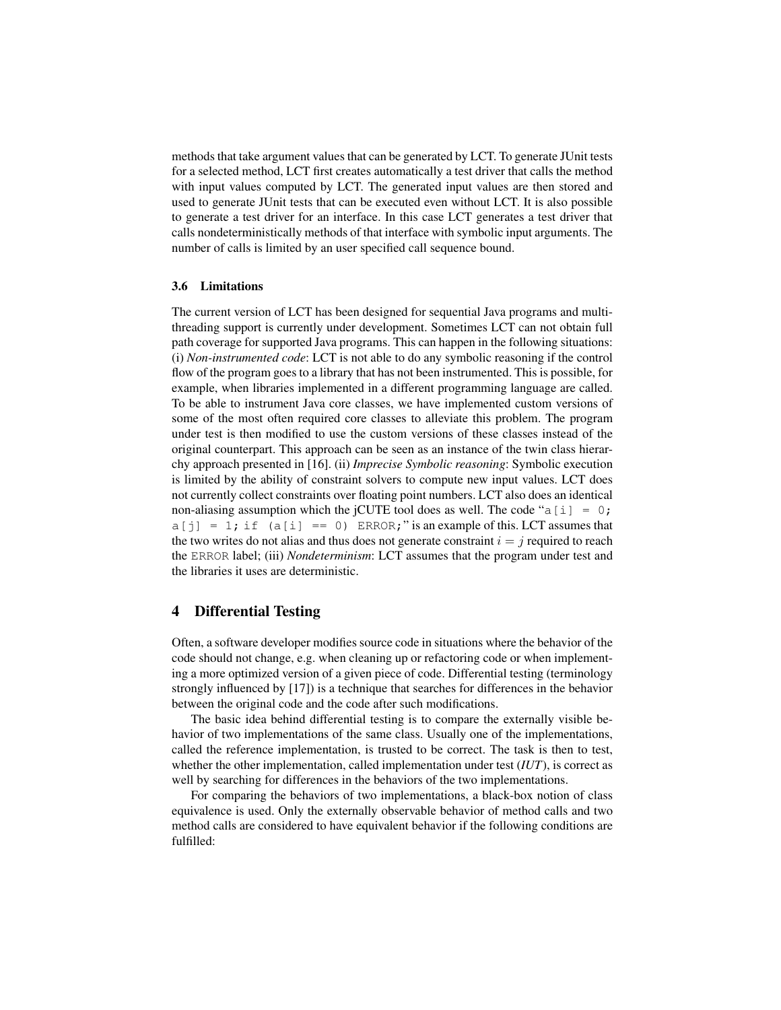methods that take argument values that can be generated by LCT. To generate JUnit tests for a selected method, LCT first creates automatically a test driver that calls the method with input values computed by LCT. The generated input values are then stored and used to generate JUnit tests that can be executed even without LCT. It is also possible to generate a test driver for an interface. In this case LCT generates a test driver that calls nondeterministically methods of that interface with symbolic input arguments. The number of calls is limited by an user specified call sequence bound.

#### 3.6 Limitations

The current version of LCT has been designed for sequential Java programs and multithreading support is currently under development. Sometimes LCT can not obtain full path coverage for supported Java programs. This can happen in the following situations: (i) *Non-instrumented code*: LCT is not able to do any symbolic reasoning if the control flow of the program goes to a library that has not been instrumented. This is possible, for example, when libraries implemented in a different programming language are called. To be able to instrument Java core classes, we have implemented custom versions of some of the most often required core classes to alleviate this problem. The program under test is then modified to use the custom versions of these classes instead of the original counterpart. This approach can be seen as an instance of the twin class hierarchy approach presented in [16]. (ii) *Imprecise Symbolic reasoning*: Symbolic execution is limited by the ability of constraint solvers to compute new input values. LCT does not currently collect constraints over floating point numbers. LCT also does an identical non-aliasing assumption which the jCUTE tool does as well. The code "a[i] = 0;  $a[j] = 1; if (a[i] == 0) ERROR; " is an example of this. LCT assumes that$ the two writes do not alias and thus does not generate constraint  $i = j$  required to reach the ERROR label; (iii) *Nondeterminism*: LCT assumes that the program under test and the libraries it uses are deterministic.

## 4 Differential Testing

Often, a software developer modifies source code in situations where the behavior of the code should not change, e.g. when cleaning up or refactoring code or when implementing a more optimized version of a given piece of code. Differential testing (terminology strongly influenced by [17]) is a technique that searches for differences in the behavior between the original code and the code after such modifications.

The basic idea behind differential testing is to compare the externally visible behavior of two implementations of the same class. Usually one of the implementations, called the reference implementation, is trusted to be correct. The task is then to test, whether the other implementation, called implementation under test (*IUT*), is correct as well by searching for differences in the behaviors of the two implementations.

For comparing the behaviors of two implementations, a black-box notion of class equivalence is used. Only the externally observable behavior of method calls and two method calls are considered to have equivalent behavior if the following conditions are fulfilled: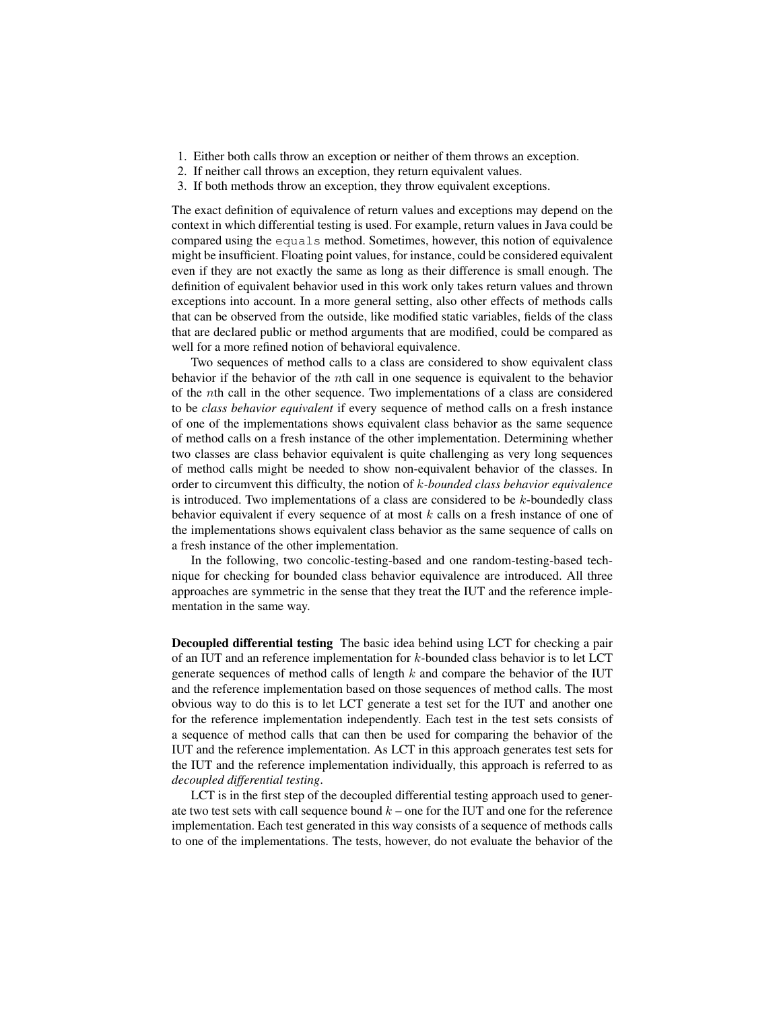- 1. Either both calls throw an exception or neither of them throws an exception.
- 2. If neither call throws an exception, they return equivalent values.
- 3. If both methods throw an exception, they throw equivalent exceptions.

The exact definition of equivalence of return values and exceptions may depend on the context in which differential testing is used. For example, return values in Java could be compared using the equals method. Sometimes, however, this notion of equivalence might be insufficient. Floating point values, for instance, could be considered equivalent even if they are not exactly the same as long as their difference is small enough. The definition of equivalent behavior used in this work only takes return values and thrown exceptions into account. In a more general setting, also other effects of methods calls that can be observed from the outside, like modified static variables, fields of the class that are declared public or method arguments that are modified, could be compared as well for a more refined notion of behavioral equivalence.

Two sequences of method calls to a class are considered to show equivalent class behavior if the behavior of the nth call in one sequence is equivalent to the behavior of the nth call in the other sequence. Two implementations of a class are considered to be *class behavior equivalent* if every sequence of method calls on a fresh instance of one of the implementations shows equivalent class behavior as the same sequence of method calls on a fresh instance of the other implementation. Determining whether two classes are class behavior equivalent is quite challenging as very long sequences of method calls might be needed to show non-equivalent behavior of the classes. In order to circumvent this difficulty, the notion of k*-bounded class behavior equivalence* is introduced. Two implementations of a class are considered to be  $k$ -boundedly class behavior equivalent if every sequence of at most  $k$  calls on a fresh instance of one of the implementations shows equivalent class behavior as the same sequence of calls on a fresh instance of the other implementation.

In the following, two concolic-testing-based and one random-testing-based technique for checking for bounded class behavior equivalence are introduced. All three approaches are symmetric in the sense that they treat the IUT and the reference implementation in the same way.

Decoupled differential testing The basic idea behind using LCT for checking a pair of an IUT and an reference implementation for k-bounded class behavior is to let LCT generate sequences of method calls of length  $k$  and compare the behavior of the IUT and the reference implementation based on those sequences of method calls. The most obvious way to do this is to let LCT generate a test set for the IUT and another one for the reference implementation independently. Each test in the test sets consists of a sequence of method calls that can then be used for comparing the behavior of the IUT and the reference implementation. As LCT in this approach generates test sets for the IUT and the reference implementation individually, this approach is referred to as *decoupled differential testing*.

LCT is in the first step of the decoupled differential testing approach used to generate two test sets with call sequence bound  $k$  – one for the IUT and one for the reference implementation. Each test generated in this way consists of a sequence of methods calls to one of the implementations. The tests, however, do not evaluate the behavior of the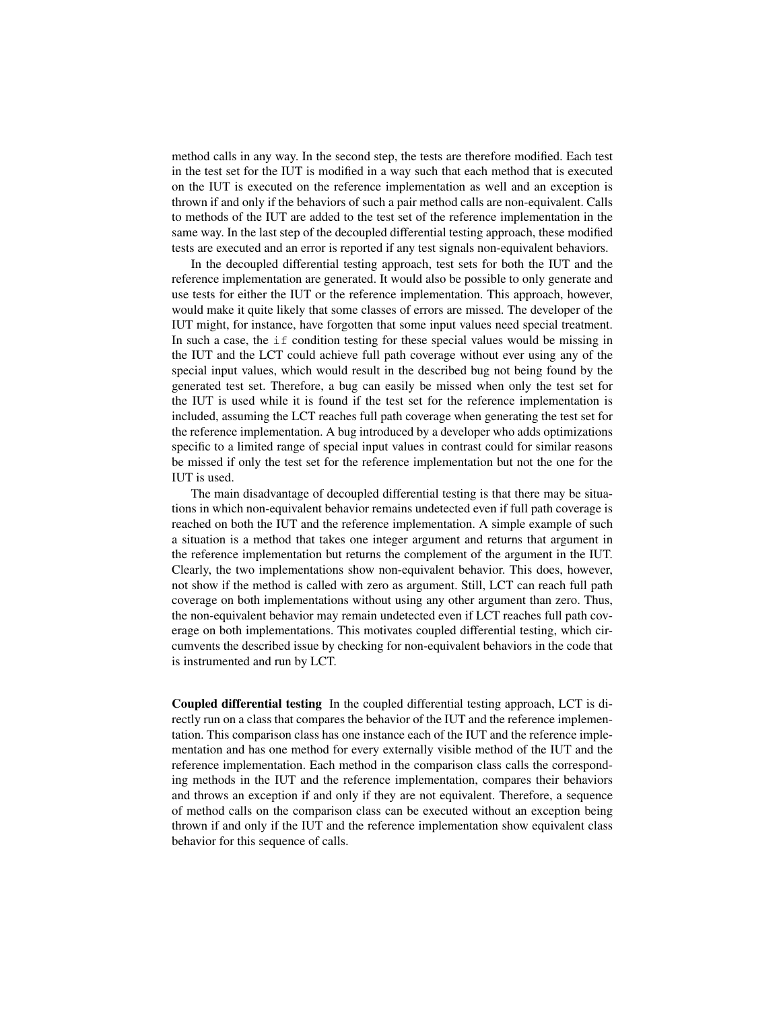method calls in any way. In the second step, the tests are therefore modified. Each test in the test set for the IUT is modified in a way such that each method that is executed on the IUT is executed on the reference implementation as well and an exception is thrown if and only if the behaviors of such a pair method calls are non-equivalent. Calls to methods of the IUT are added to the test set of the reference implementation in the same way. In the last step of the decoupled differential testing approach, these modified tests are executed and an error is reported if any test signals non-equivalent behaviors.

In the decoupled differential testing approach, test sets for both the IUT and the reference implementation are generated. It would also be possible to only generate and use tests for either the IUT or the reference implementation. This approach, however, would make it quite likely that some classes of errors are missed. The developer of the IUT might, for instance, have forgotten that some input values need special treatment. In such a case, the if condition testing for these special values would be missing in the IUT and the LCT could achieve full path coverage without ever using any of the special input values, which would result in the described bug not being found by the generated test set. Therefore, a bug can easily be missed when only the test set for the IUT is used while it is found if the test set for the reference implementation is included, assuming the LCT reaches full path coverage when generating the test set for the reference implementation. A bug introduced by a developer who adds optimizations specific to a limited range of special input values in contrast could for similar reasons be missed if only the test set for the reference implementation but not the one for the IUT is used.

The main disadvantage of decoupled differential testing is that there may be situations in which non-equivalent behavior remains undetected even if full path coverage is reached on both the IUT and the reference implementation. A simple example of such a situation is a method that takes one integer argument and returns that argument in the reference implementation but returns the complement of the argument in the IUT. Clearly, the two implementations show non-equivalent behavior. This does, however, not show if the method is called with zero as argument. Still, LCT can reach full path coverage on both implementations without using any other argument than zero. Thus, the non-equivalent behavior may remain undetected even if LCT reaches full path coverage on both implementations. This motivates coupled differential testing, which circumvents the described issue by checking for non-equivalent behaviors in the code that is instrumented and run by LCT.

Coupled differential testing In the coupled differential testing approach, LCT is directly run on a class that compares the behavior of the IUT and the reference implementation. This comparison class has one instance each of the IUT and the reference implementation and has one method for every externally visible method of the IUT and the reference implementation. Each method in the comparison class calls the corresponding methods in the IUT and the reference implementation, compares their behaviors and throws an exception if and only if they are not equivalent. Therefore, a sequence of method calls on the comparison class can be executed without an exception being thrown if and only if the IUT and the reference implementation show equivalent class behavior for this sequence of calls.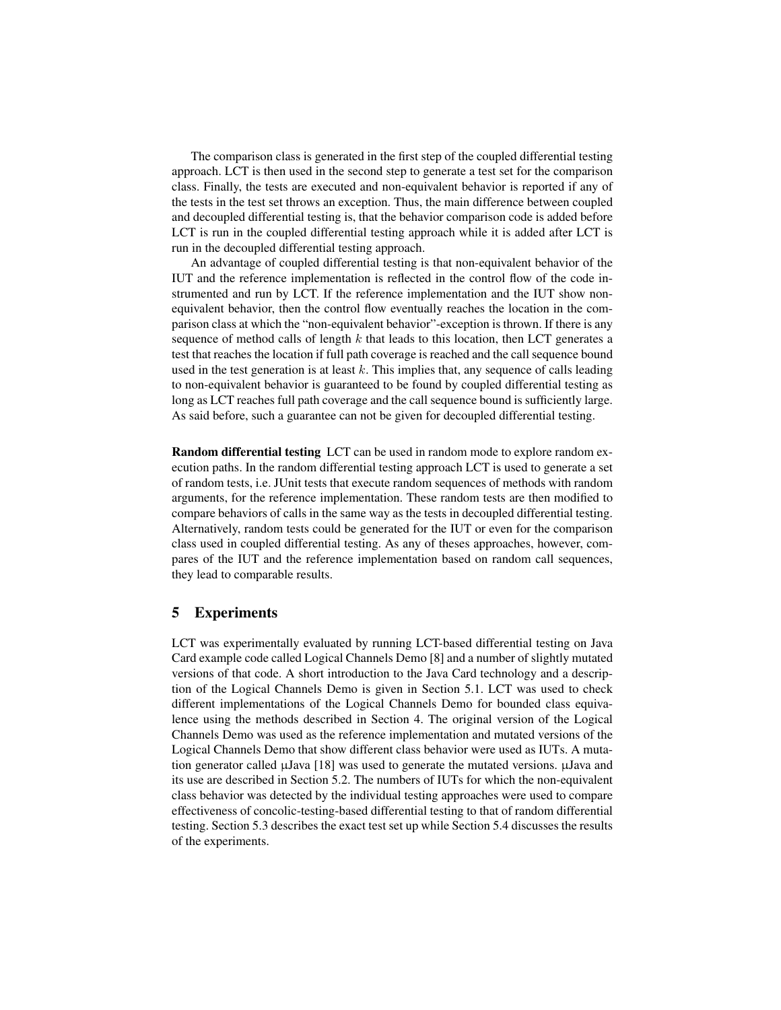The comparison class is generated in the first step of the coupled differential testing approach. LCT is then used in the second step to generate a test set for the comparison class. Finally, the tests are executed and non-equivalent behavior is reported if any of the tests in the test set throws an exception. Thus, the main difference between coupled and decoupled differential testing is, that the behavior comparison code is added before LCT is run in the coupled differential testing approach while it is added after LCT is run in the decoupled differential testing approach.

An advantage of coupled differential testing is that non-equivalent behavior of the IUT and the reference implementation is reflected in the control flow of the code instrumented and run by LCT. If the reference implementation and the IUT show nonequivalent behavior, then the control flow eventually reaches the location in the comparison class at which the "non-equivalent behavior"-exception is thrown. If there is any sequence of method calls of length  $k$  that leads to this location, then LCT generates a test that reaches the location if full path coverage is reached and the call sequence bound used in the test generation is at least  $k$ . This implies that, any sequence of calls leading to non-equivalent behavior is guaranteed to be found by coupled differential testing as long as LCT reaches full path coverage and the call sequence bound is sufficiently large. As said before, such a guarantee can not be given for decoupled differential testing.

Random differential testing LCT can be used in random mode to explore random execution paths. In the random differential testing approach LCT is used to generate a set of random tests, i.e. JUnit tests that execute random sequences of methods with random arguments, for the reference implementation. These random tests are then modified to compare behaviors of calls in the same way as the tests in decoupled differential testing. Alternatively, random tests could be generated for the IUT or even for the comparison class used in coupled differential testing. As any of theses approaches, however, compares of the IUT and the reference implementation based on random call sequences, they lead to comparable results.

## 5 Experiments

LCT was experimentally evaluated by running LCT-based differential testing on Java Card example code called Logical Channels Demo [8] and a number of slightly mutated versions of that code. A short introduction to the Java Card technology and a description of the Logical Channels Demo is given in Section 5.1. LCT was used to check different implementations of the Logical Channels Demo for bounded class equivalence using the methods described in Section 4. The original version of the Logical Channels Demo was used as the reference implementation and mutated versions of the Logical Channels Demo that show different class behavior were used as IUTs. A mutation generator called µJava [18] was used to generate the mutated versions. µJava and its use are described in Section 5.2. The numbers of IUTs for which the non-equivalent class behavior was detected by the individual testing approaches were used to compare effectiveness of concolic-testing-based differential testing to that of random differential testing. Section 5.3 describes the exact test set up while Section 5.4 discusses the results of the experiments.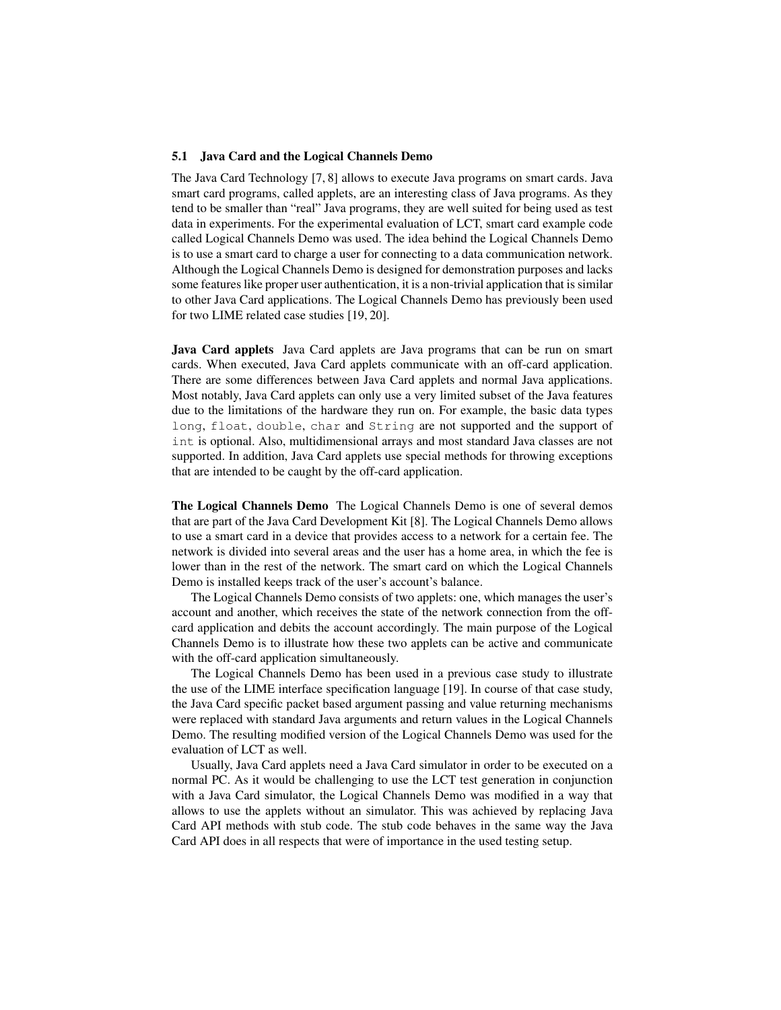#### 5.1 Java Card and the Logical Channels Demo

The Java Card Technology [7, 8] allows to execute Java programs on smart cards. Java smart card programs, called applets, are an interesting class of Java programs. As they tend to be smaller than "real" Java programs, they are well suited for being used as test data in experiments. For the experimental evaluation of LCT, smart card example code called Logical Channels Demo was used. The idea behind the Logical Channels Demo is to use a smart card to charge a user for connecting to a data communication network. Although the Logical Channels Demo is designed for demonstration purposes and lacks some features like proper user authentication, it is a non-trivial application that is similar to other Java Card applications. The Logical Channels Demo has previously been used for two LIME related case studies [19, 20].

Java Card applets Java Card applets are Java programs that can be run on smart cards. When executed, Java Card applets communicate with an off-card application. There are some differences between Java Card applets and normal Java applications. Most notably, Java Card applets can only use a very limited subset of the Java features due to the limitations of the hardware they run on. For example, the basic data types long, float, double, char and String are not supported and the support of int is optional. Also, multidimensional arrays and most standard Java classes are not supported. In addition, Java Card applets use special methods for throwing exceptions that are intended to be caught by the off-card application.

The Logical Channels Demo The Logical Channels Demo is one of several demos that are part of the Java Card Development Kit [8]. The Logical Channels Demo allows to use a smart card in a device that provides access to a network for a certain fee. The network is divided into several areas and the user has a home area, in which the fee is lower than in the rest of the network. The smart card on which the Logical Channels Demo is installed keeps track of the user's account's balance.

The Logical Channels Demo consists of two applets: one, which manages the user's account and another, which receives the state of the network connection from the offcard application and debits the account accordingly. The main purpose of the Logical Channels Demo is to illustrate how these two applets can be active and communicate with the off-card application simultaneously.

The Logical Channels Demo has been used in a previous case study to illustrate the use of the LIME interface specification language [19]. In course of that case study, the Java Card specific packet based argument passing and value returning mechanisms were replaced with standard Java arguments and return values in the Logical Channels Demo. The resulting modified version of the Logical Channels Demo was used for the evaluation of LCT as well.

Usually, Java Card applets need a Java Card simulator in order to be executed on a normal PC. As it would be challenging to use the LCT test generation in conjunction with a Java Card simulator, the Logical Channels Demo was modified in a way that allows to use the applets without an simulator. This was achieved by replacing Java Card API methods with stub code. The stub code behaves in the same way the Java Card API does in all respects that were of importance in the used testing setup.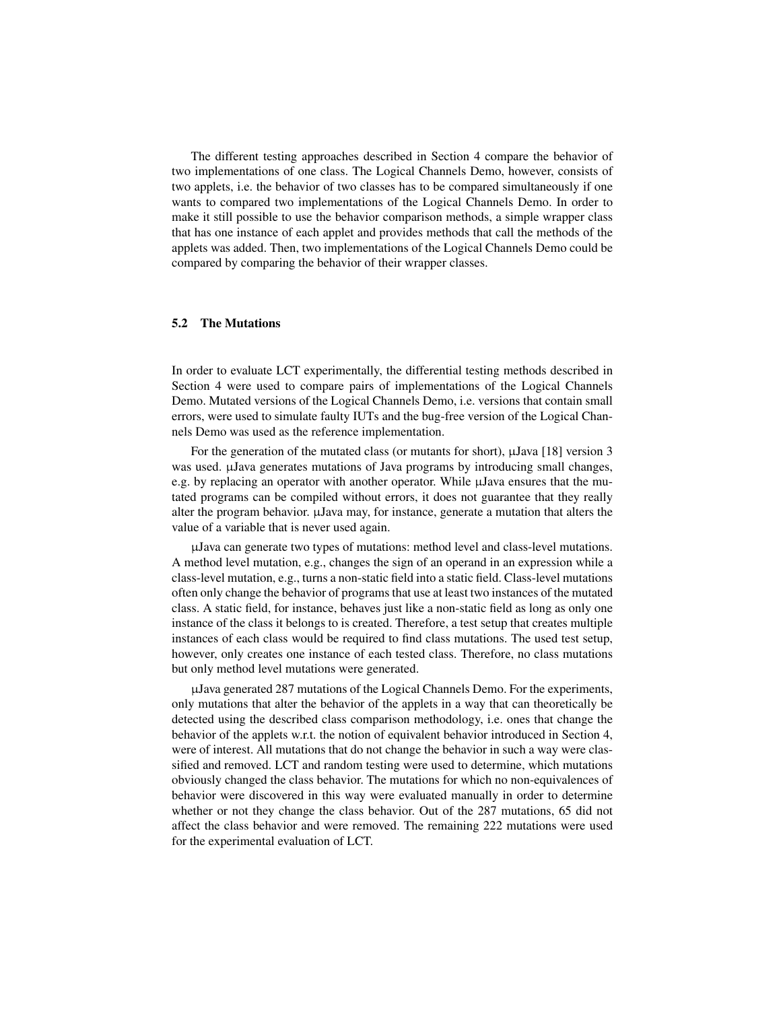The different testing approaches described in Section 4 compare the behavior of two implementations of one class. The Logical Channels Demo, however, consists of two applets, i.e. the behavior of two classes has to be compared simultaneously if one wants to compared two implementations of the Logical Channels Demo. In order to make it still possible to use the behavior comparison methods, a simple wrapper class that has one instance of each applet and provides methods that call the methods of the applets was added. Then, two implementations of the Logical Channels Demo could be compared by comparing the behavior of their wrapper classes.

#### 5.2 The Mutations

In order to evaluate LCT experimentally, the differential testing methods described in Section 4 were used to compare pairs of implementations of the Logical Channels Demo. Mutated versions of the Logical Channels Demo, i.e. versions that contain small errors, were used to simulate faulty IUTs and the bug-free version of the Logical Channels Demo was used as the reference implementation.

For the generation of the mutated class (or mutants for short),  $\mu$ Java [18] version 3 was used. µJava generates mutations of Java programs by introducing small changes, e.g. by replacing an operator with another operator. While  $\mu$ Java ensures that the mutated programs can be compiled without errors, it does not guarantee that they really alter the program behavior. µJava may, for instance, generate a mutation that alters the value of a variable that is never used again.

µJava can generate two types of mutations: method level and class-level mutations. A method level mutation, e.g., changes the sign of an operand in an expression while a class-level mutation, e.g., turns a non-static field into a static field. Class-level mutations often only change the behavior of programs that use at least two instances of the mutated class. A static field, for instance, behaves just like a non-static field as long as only one instance of the class it belongs to is created. Therefore, a test setup that creates multiple instances of each class would be required to find class mutations. The used test setup, however, only creates one instance of each tested class. Therefore, no class mutations but only method level mutations were generated.

µJava generated 287 mutations of the Logical Channels Demo. For the experiments, only mutations that alter the behavior of the applets in a way that can theoretically be detected using the described class comparison methodology, i.e. ones that change the behavior of the applets w.r.t. the notion of equivalent behavior introduced in Section 4, were of interest. All mutations that do not change the behavior in such a way were classified and removed. LCT and random testing were used to determine, which mutations obviously changed the class behavior. The mutations for which no non-equivalences of behavior were discovered in this way were evaluated manually in order to determine whether or not they change the class behavior. Out of the 287 mutations, 65 did not affect the class behavior and were removed. The remaining 222 mutations were used for the experimental evaluation of LCT.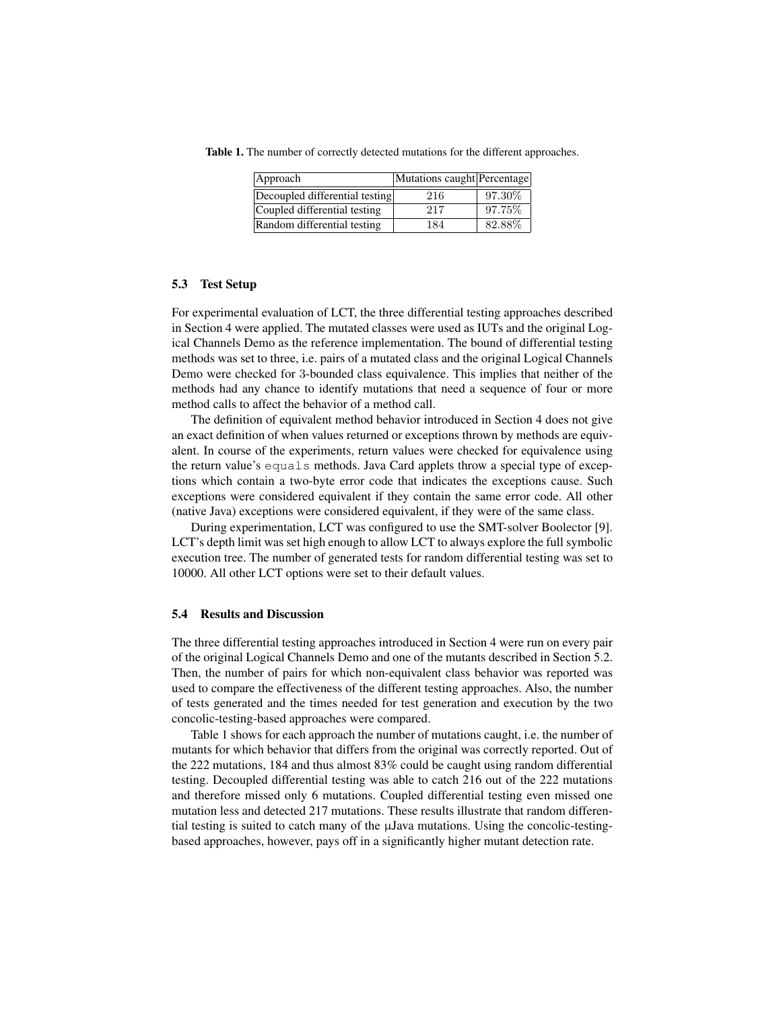Table 1. The number of correctly detected mutations for the different approaches.

| Approach                       | Mutations caught Percentage |         |
|--------------------------------|-----------------------------|---------|
| Decoupled differential testing | 216                         | 97.30\% |
| Coupled differential testing   | 217                         | 97.75%  |
| Random differential testing    | 184                         | 82.88%  |

#### 5.3 Test Setup

For experimental evaluation of LCT, the three differential testing approaches described in Section 4 were applied. The mutated classes were used as IUTs and the original Logical Channels Demo as the reference implementation. The bound of differential testing methods was set to three, i.e. pairs of a mutated class and the original Logical Channels Demo were checked for 3-bounded class equivalence. This implies that neither of the methods had any chance to identify mutations that need a sequence of four or more method calls to affect the behavior of a method call.

The definition of equivalent method behavior introduced in Section 4 does not give an exact definition of when values returned or exceptions thrown by methods are equivalent. In course of the experiments, return values were checked for equivalence using the return value's equals methods. Java Card applets throw a special type of exceptions which contain a two-byte error code that indicates the exceptions cause. Such exceptions were considered equivalent if they contain the same error code. All other (native Java) exceptions were considered equivalent, if they were of the same class.

During experimentation, LCT was configured to use the SMT-solver Boolector [9]. LCT's depth limit was set high enough to allow LCT to always explore the full symbolic execution tree. The number of generated tests for random differential testing was set to 10000. All other LCT options were set to their default values.

#### 5.4 Results and Discussion

The three differential testing approaches introduced in Section 4 were run on every pair of the original Logical Channels Demo and one of the mutants described in Section 5.2. Then, the number of pairs for which non-equivalent class behavior was reported was used to compare the effectiveness of the different testing approaches. Also, the number of tests generated and the times needed for test generation and execution by the two concolic-testing-based approaches were compared.

Table 1 shows for each approach the number of mutations caught, i.e. the number of mutants for which behavior that differs from the original was correctly reported. Out of the 222 mutations, 184 and thus almost 83% could be caught using random differential testing. Decoupled differential testing was able to catch 216 out of the 222 mutations and therefore missed only 6 mutations. Coupled differential testing even missed one mutation less and detected 217 mutations. These results illustrate that random differential testing is suited to catch many of the µJava mutations. Using the concolic-testingbased approaches, however, pays off in a significantly higher mutant detection rate.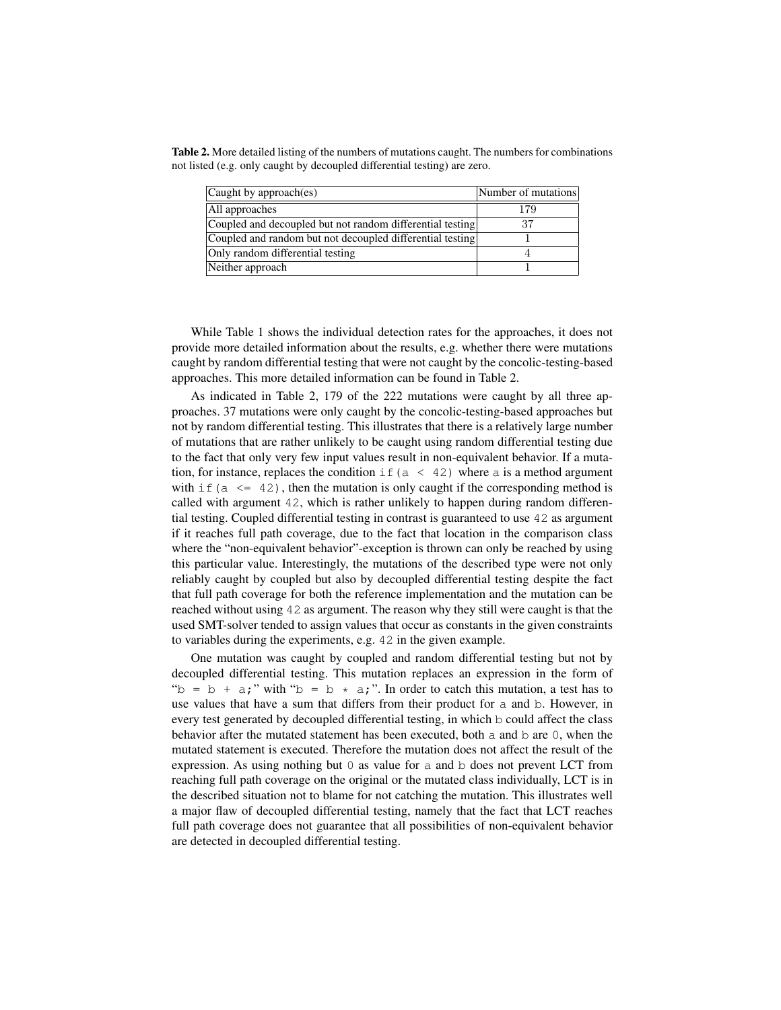Table 2. More detailed listing of the numbers of mutations caught. The numbers for combinations not listed (e.g. only caught by decoupled differential testing) are zero.

| Caught by approach(es)                                    | Number of mutations |
|-----------------------------------------------------------|---------------------|
| All approaches                                            | 179                 |
| Coupled and decoupled but not random differential testing | 37                  |
| Coupled and random but not decoupled differential testing |                     |
| Only random differential testing                          |                     |
| Neither approach                                          |                     |

While Table 1 shows the individual detection rates for the approaches, it does not provide more detailed information about the results, e.g. whether there were mutations caught by random differential testing that were not caught by the concolic-testing-based approaches. This more detailed information can be found in Table 2.

As indicated in Table 2, 179 of the 222 mutations were caught by all three approaches. 37 mutations were only caught by the concolic-testing-based approaches but not by random differential testing. This illustrates that there is a relatively large number of mutations that are rather unlikely to be caught using random differential testing due to the fact that only very few input values result in non-equivalent behavior. If a mutation, for instance, replaces the condition if ( $a < 42$ ) where a is a method argument with if ( $a \le 42$ ), then the mutation is only caught if the corresponding method is called with argument 42, which is rather unlikely to happen during random differential testing. Coupled differential testing in contrast is guaranteed to use 42 as argument if it reaches full path coverage, due to the fact that location in the comparison class where the "non-equivalent behavior"-exception is thrown can only be reached by using this particular value. Interestingly, the mutations of the described type were not only reliably caught by coupled but also by decoupled differential testing despite the fact that full path coverage for both the reference implementation and the mutation can be reached without using 42 as argument. The reason why they still were caught is that the used SMT-solver tended to assign values that occur as constants in the given constraints to variables during the experiments, e.g. 42 in the given example.

One mutation was caught by coupled and random differential testing but not by decoupled differential testing. This mutation replaces an expression in the form of "b = b + a;" with "b = b  $\star$  a;". In order to catch this mutation, a test has to use values that have a sum that differs from their product for a and b. However, in every test generated by decoupled differential testing, in which b could affect the class behavior after the mutated statement has been executed, both  $\alpha$  and  $\beta$  are 0, when the mutated statement is executed. Therefore the mutation does not affect the result of the expression. As using nothing but 0 as value for a and b does not prevent LCT from reaching full path coverage on the original or the mutated class individually, LCT is in the described situation not to blame for not catching the mutation. This illustrates well a major flaw of decoupled differential testing, namely that the fact that LCT reaches full path coverage does not guarantee that all possibilities of non-equivalent behavior are detected in decoupled differential testing.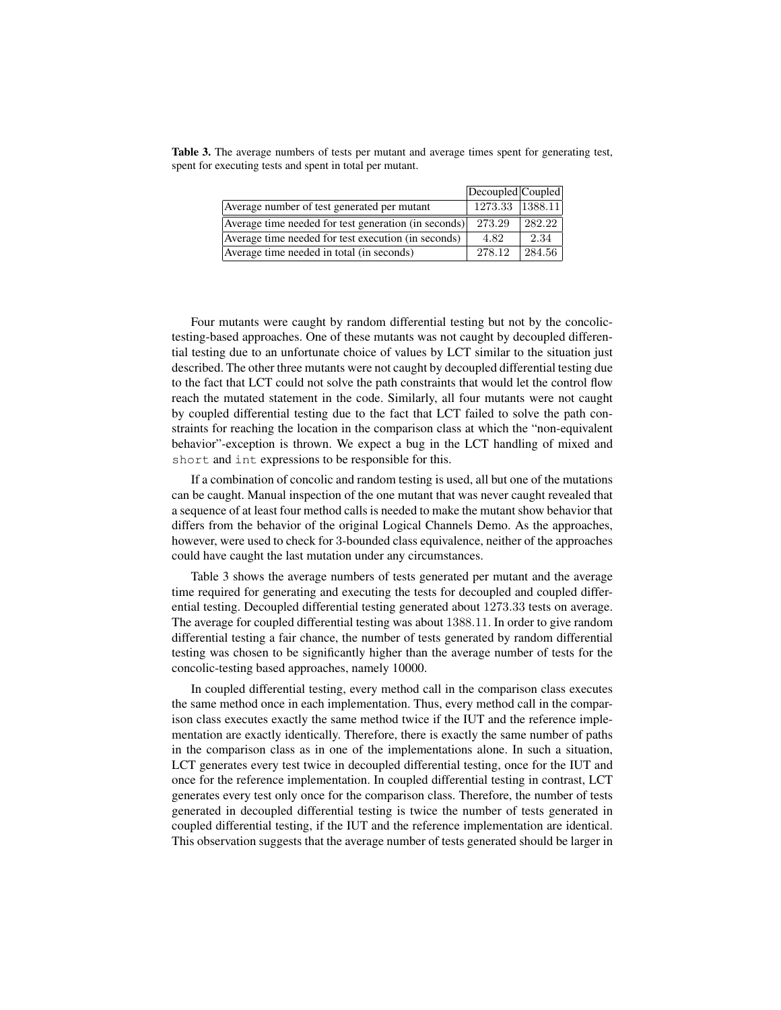Table 3. The average numbers of tests per mutant and average times spent for generating test, spent for executing tests and spent in total per mutant.

|                                                      | Decoupled Coupled |        |
|------------------------------------------------------|-------------------|--------|
| Average number of test generated per mutant          | 1273.33 1388.11   |        |
| Average time needed for test generation (in seconds) | 273.29            | 282.22 |
| Average time needed for test execution (in seconds)  | 4.82              | 2.34   |
| Average time needed in total (in seconds)            | 278.12            | 284.56 |

Four mutants were caught by random differential testing but not by the concolictesting-based approaches. One of these mutants was not caught by decoupled differential testing due to an unfortunate choice of values by LCT similar to the situation just described. The other three mutants were not caught by decoupled differential testing due to the fact that LCT could not solve the path constraints that would let the control flow reach the mutated statement in the code. Similarly, all four mutants were not caught by coupled differential testing due to the fact that LCT failed to solve the path constraints for reaching the location in the comparison class at which the "non-equivalent behavior"-exception is thrown. We expect a bug in the LCT handling of mixed and short and int expressions to be responsible for this.

If a combination of concolic and random testing is used, all but one of the mutations can be caught. Manual inspection of the one mutant that was never caught revealed that a sequence of at least four method calls is needed to make the mutant show behavior that differs from the behavior of the original Logical Channels Demo. As the approaches, however, were used to check for 3-bounded class equivalence, neither of the approaches could have caught the last mutation under any circumstances.

Table 3 shows the average numbers of tests generated per mutant and the average time required for generating and executing the tests for decoupled and coupled differential testing. Decoupled differential testing generated about 1273.33 tests on average. The average for coupled differential testing was about 1388.11. In order to give random differential testing a fair chance, the number of tests generated by random differential testing was chosen to be significantly higher than the average number of tests for the concolic-testing based approaches, namely 10000.

In coupled differential testing, every method call in the comparison class executes the same method once in each implementation. Thus, every method call in the comparison class executes exactly the same method twice if the IUT and the reference implementation are exactly identically. Therefore, there is exactly the same number of paths in the comparison class as in one of the implementations alone. In such a situation, LCT generates every test twice in decoupled differential testing, once for the IUT and once for the reference implementation. In coupled differential testing in contrast, LCT generates every test only once for the comparison class. Therefore, the number of tests generated in decoupled differential testing is twice the number of tests generated in coupled differential testing, if the IUT and the reference implementation are identical. This observation suggests that the average number of tests generated should be larger in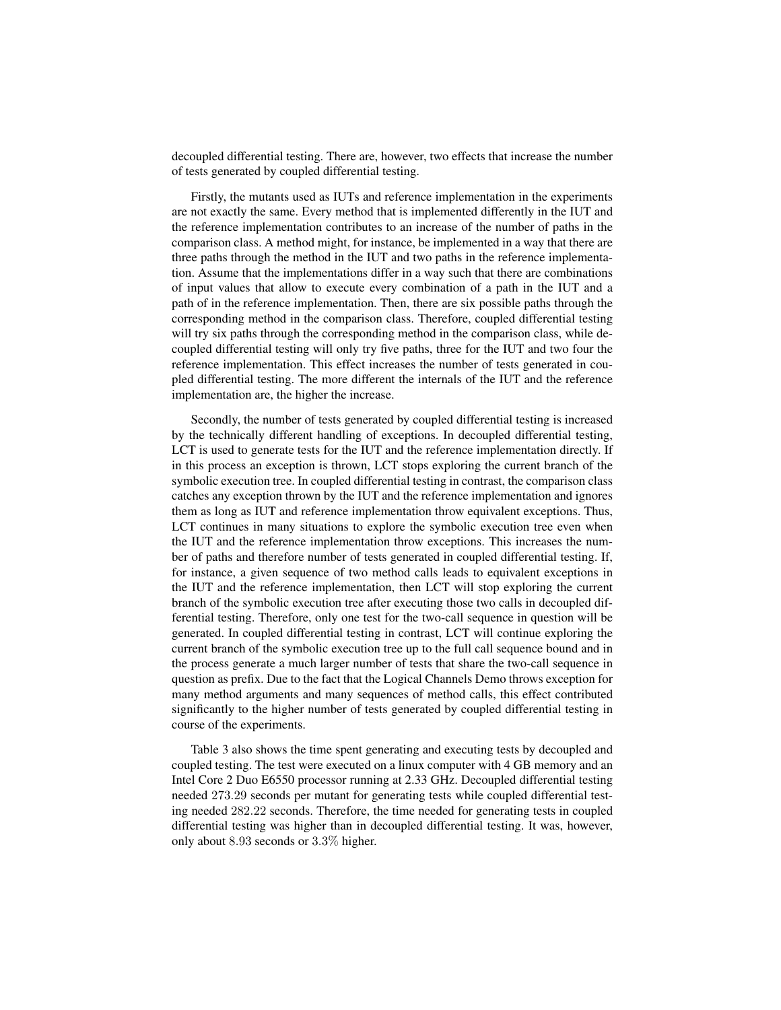decoupled differential testing. There are, however, two effects that increase the number of tests generated by coupled differential testing.

Firstly, the mutants used as IUTs and reference implementation in the experiments are not exactly the same. Every method that is implemented differently in the IUT and the reference implementation contributes to an increase of the number of paths in the comparison class. A method might, for instance, be implemented in a way that there are three paths through the method in the IUT and two paths in the reference implementation. Assume that the implementations differ in a way such that there are combinations of input values that allow to execute every combination of a path in the IUT and a path of in the reference implementation. Then, there are six possible paths through the corresponding method in the comparison class. Therefore, coupled differential testing will try six paths through the corresponding method in the comparison class, while decoupled differential testing will only try five paths, three for the IUT and two four the reference implementation. This effect increases the number of tests generated in coupled differential testing. The more different the internals of the IUT and the reference implementation are, the higher the increase.

Secondly, the number of tests generated by coupled differential testing is increased by the technically different handling of exceptions. In decoupled differential testing, LCT is used to generate tests for the IUT and the reference implementation directly. If in this process an exception is thrown, LCT stops exploring the current branch of the symbolic execution tree. In coupled differential testing in contrast, the comparison class catches any exception thrown by the IUT and the reference implementation and ignores them as long as IUT and reference implementation throw equivalent exceptions. Thus, LCT continues in many situations to explore the symbolic execution tree even when the IUT and the reference implementation throw exceptions. This increases the number of paths and therefore number of tests generated in coupled differential testing. If, for instance, a given sequence of two method calls leads to equivalent exceptions in the IUT and the reference implementation, then LCT will stop exploring the current branch of the symbolic execution tree after executing those two calls in decoupled differential testing. Therefore, only one test for the two-call sequence in question will be generated. In coupled differential testing in contrast, LCT will continue exploring the current branch of the symbolic execution tree up to the full call sequence bound and in the process generate a much larger number of tests that share the two-call sequence in question as prefix. Due to the fact that the Logical Channels Demo throws exception for many method arguments and many sequences of method calls, this effect contributed significantly to the higher number of tests generated by coupled differential testing in course of the experiments.

Table 3 also shows the time spent generating and executing tests by decoupled and coupled testing. The test were executed on a linux computer with 4 GB memory and an Intel Core 2 Duo E6550 processor running at 2.33 GHz. Decoupled differential testing needed 273.29 seconds per mutant for generating tests while coupled differential testing needed 282.22 seconds. Therefore, the time needed for generating tests in coupled differential testing was higher than in decoupled differential testing. It was, however, only about 8.93 seconds or 3.3% higher.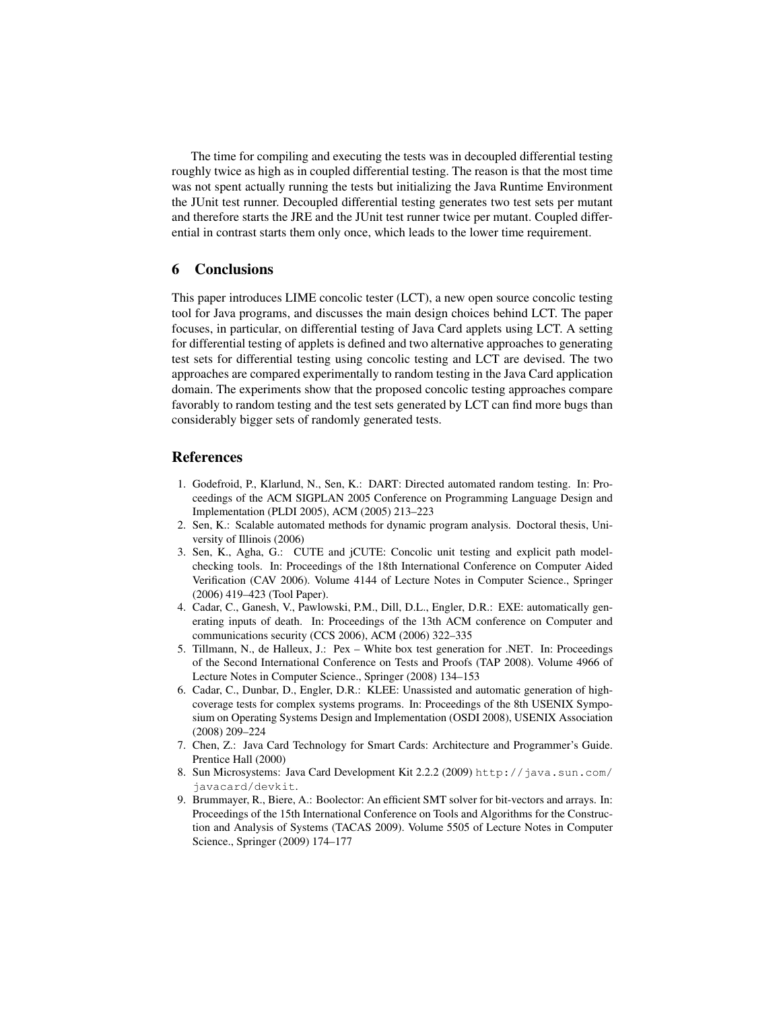The time for compiling and executing the tests was in decoupled differential testing roughly twice as high as in coupled differential testing. The reason is that the most time was not spent actually running the tests but initializing the Java Runtime Environment the JUnit test runner. Decoupled differential testing generates two test sets per mutant and therefore starts the JRE and the JUnit test runner twice per mutant. Coupled differential in contrast starts them only once, which leads to the lower time requirement.

## 6 Conclusions

This paper introduces LIME concolic tester (LCT), a new open source concolic testing tool for Java programs, and discusses the main design choices behind LCT. The paper focuses, in particular, on differential testing of Java Card applets using LCT. A setting for differential testing of applets is defined and two alternative approaches to generating test sets for differential testing using concolic testing and LCT are devised. The two approaches are compared experimentally to random testing in the Java Card application domain. The experiments show that the proposed concolic testing approaches compare favorably to random testing and the test sets generated by LCT can find more bugs than considerably bigger sets of randomly generated tests.

## References

- 1. Godefroid, P., Klarlund, N., Sen, K.: DART: Directed automated random testing. In: Proceedings of the ACM SIGPLAN 2005 Conference on Programming Language Design and Implementation (PLDI 2005), ACM (2005) 213–223
- 2. Sen, K.: Scalable automated methods for dynamic program analysis. Doctoral thesis, University of Illinois (2006)
- 3. Sen, K., Agha, G.: CUTE and jCUTE: Concolic unit testing and explicit path modelchecking tools. In: Proceedings of the 18th International Conference on Computer Aided Verification (CAV 2006). Volume 4144 of Lecture Notes in Computer Science., Springer (2006) 419–423 (Tool Paper).
- 4. Cadar, C., Ganesh, V., Pawlowski, P.M., Dill, D.L., Engler, D.R.: EXE: automatically generating inputs of death. In: Proceedings of the 13th ACM conference on Computer and communications security (CCS 2006), ACM (2006) 322–335
- 5. Tillmann, N., de Halleux, J.: Pex White box test generation for .NET. In: Proceedings of the Second International Conference on Tests and Proofs (TAP 2008). Volume 4966 of Lecture Notes in Computer Science., Springer (2008) 134–153
- 6. Cadar, C., Dunbar, D., Engler, D.R.: KLEE: Unassisted and automatic generation of highcoverage tests for complex systems programs. In: Proceedings of the 8th USENIX Symposium on Operating Systems Design and Implementation (OSDI 2008), USENIX Association (2008) 209–224
- 7. Chen, Z.: Java Card Technology for Smart Cards: Architecture and Programmer's Guide. Prentice Hall (2000)
- 8. Sun Microsystems: Java Card Development Kit 2.2.2 (2009) http://java.sun.com/ javacard/devkit.
- 9. Brummayer, R., Biere, A.: Boolector: An efficient SMT solver for bit-vectors and arrays. In: Proceedings of the 15th International Conference on Tools and Algorithms for the Construction and Analysis of Systems (TACAS 2009). Volume 5505 of Lecture Notes in Computer Science., Springer (2009) 174–177